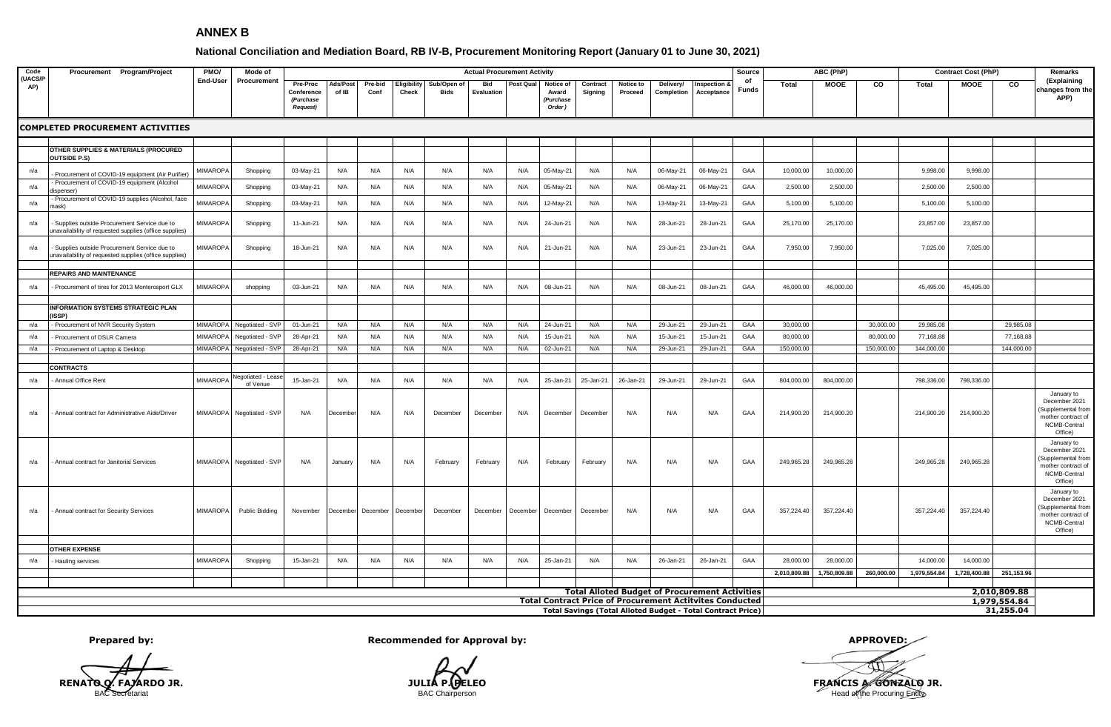## **ANNEX B**

## **National Conciliation and Mediation Board, RB IV-B, Procurement Monitoring Report (January 01 to June 30, 2021)**

| Code<br>(UACS/F<br>AP) | Procurement Program/Project                                                                                                    | PMO/<br>End-User | Mode of<br>Procurement               |                                                        | <b>Actual Procurement Activity</b><br>Source |                 |                      |                     |                   |          |                                           |                     |                      |                                                       | ABC (PhP)                  |             |              | <b>Contract Cost (PhP)</b> |            |              | <b>Remarks</b> |              |                                                                                                    |
|------------------------|--------------------------------------------------------------------------------------------------------------------------------|------------------|--------------------------------------|--------------------------------------------------------|----------------------------------------------|-----------------|----------------------|---------------------|-------------------|----------|-------------------------------------------|---------------------|----------------------|-------------------------------------------------------|----------------------------|-------------|--------------|----------------------------|------------|--------------|----------------|--------------|----------------------------------------------------------------------------------------------------|
|                        |                                                                                                                                |                  |                                      | Pre-Proc<br>Conference<br>(Purchase<br><b>Request)</b> | Ads/Post<br>of IB                            | Pre-bid<br>Conf | Eligibility<br>Check | Sub/Open of<br>Bids | Bid<br>Evaluation | Post Qua | Notice of<br>Award<br>(Purchase<br>Order) | Contract<br>Signing | Notice to<br>Proceed | Delivery/<br>Completion                               | Inspection &<br>Acceptance | of<br>Funds | <b>Total</b> | <b>MOOE</b>                | CO         | Total        | <b>MOOE</b>    | CO           | (Explaining<br>changes from the<br>APP)                                                            |
|                        | <b>COMPLETED PROCUREMENT ACTIVITIES</b>                                                                                        |                  |                                      |                                                        |                                              |                 |                      |                     |                   |          |                                           |                     |                      |                                                       |                            |             |              |                            |            |              |                |              |                                                                                                    |
|                        |                                                                                                                                |                  |                                      |                                                        |                                              |                 |                      |                     |                   |          |                                           |                     |                      |                                                       |                            |             |              |                            |            |              |                |              |                                                                                                    |
|                        | <b>OTHER SUPPLIES &amp; MATERIALS (PROCURED</b><br><b>OUTSIDE P.S)</b>                                                         |                  |                                      |                                                        |                                              |                 |                      |                     |                   |          |                                           |                     |                      |                                                       |                            |             |              |                            |            |              |                |              |                                                                                                    |
| n/a                    | Procurement of COVID-19 equipment (Air Purifier)                                                                               | <b>MIMAROPA</b>  | Shopping                             | 03-May-21                                              | N/A                                          | N/A             | N/A                  | N/A                 | N/A               | N/A      | 05-May-21                                 | N/A                 | N/A                  | 06-May-21                                             | 06-May-21                  | GAA         | 10,000.00    | 10,000.00                  |            | 9,998.00     | 9,998.00       |              |                                                                                                    |
| n/a                    | - Procurement of COVID-19 equipment (Alcohol<br>dispenser)                                                                     | <b>MIMAROP</b>   | Shopping                             | 03-May-21                                              | N/A                                          | N/A             | N/A                  | N/A                 | N/A               | N/A      | 05-May-21                                 | N/A                 | N/A                  | 06-May-21                                             | 06-May-21                  | GAA         | 2,500.00     | 2,500.00                   |            | 2,500.00     | 2,500.00       |              |                                                                                                    |
| n/a                    | Procurement of COVID-19 supplies (Alcohol, face<br>nask)                                                                       | MIMAROP/         | Shopping                             | 03-May-21                                              | N/A                                          | N/A             | N/A                  | N/A                 | N/A               | N/A      | 12-May-21                                 | N/A                 | N/A                  | 13-May-21                                             | 13-May-21                  | GAA         | 5,100.00     | 5,100.00                   |            | 5,100.00     | 5,100.00       |              |                                                                                                    |
| n/a                    | Supplies outside Procurement Service due to<br>unavailability of requested supplies (office supplies)                          | <b>MIMAROPA</b>  | Shopping                             | 11-Jun-21                                              | N/A                                          | N/A             | N/A                  | N/A                 | N/A               | N/A      | 24-Jun-21                                 | N/A                 | N/A                  | 28-Jun-21                                             | 28-Jun-21                  | GAA         | 25,170.00    | 25,170.00                  |            | 23,857.00    | 23,857.00      |              |                                                                                                    |
| n/a                    | Supplies outside Procurement Service due to<br>unavailability of requested supplies (office supplies)                          | <b>MIMAROPA</b>  | Shopping                             | 18-Jun-21                                              | N/A                                          | N/A             | N/A                  | N/A                 | N/A               | N/A      | 21-Jun-21                                 | N/A                 | N/A                  | 23-Jun-21                                             | 23-Jun-21                  | GAA         | 7,950.00     | 7,950.00                   |            | 7,025.00     | 7,025.00       |              |                                                                                                    |
|                        |                                                                                                                                |                  |                                      |                                                        |                                              |                 |                      |                     |                   |          |                                           |                     |                      |                                                       |                            |             |              |                            |            |              |                |              |                                                                                                    |
| n/a                    | <b>REPAIRS AND MAINTENANCE</b><br>Procurement of tires for 2013 Monterosport GLX                                               | <b>MIMAROPA</b>  | shopping                             | 03-Jun-21                                              | N/A                                          | N/A             | N/A                  | N/A                 | N/A               | N/A      | 08-Jun-21                                 | N/A                 | N/A                  | 08-Jun-21                                             | 08-Jun-21                  | GAA         | 46,000.00    | 46,000.00                  |            | 45,495.00    | 45,495.00      |              |                                                                                                    |
|                        | <b>INFORMATION SYSTEMS STRATEGIC PLAN</b><br>(ISSP)                                                                            |                  |                                      |                                                        |                                              |                 |                      |                     |                   |          |                                           |                     |                      |                                                       |                            |             |              |                            |            |              |                |              |                                                                                                    |
| n/a                    | - Procurement of NVR Security System                                                                                           |                  | MIMAROPA Negotiated - SVP            | 01-Jun-21                                              | N/A                                          | N/A             | N/A                  | N/A                 | N/A               | N/A      | 24-Jun-21                                 | N/A                 | N/A                  | 29-Jun-21                                             | 29-Jun-21                  | GAA         | 30,000.00    |                            | 30,000.00  | 29,985.08    |                | 29,985.08    |                                                                                                    |
| n/a                    | Procurement of DSLR Camera                                                                                                     | <b>MIMAROPA</b>  | Negotiated - SVP                     | 28-Apr-21                                              | N/A                                          | N/A             | N/A                  | N/A                 | N/A               | N/A      | 15-Jun-21                                 | N/A                 | N/A                  | 15-Jun-21                                             | 15-Jun-21                  | GAA         | 80,000.00    |                            | 80,000.00  | 77,168.88    |                | 77,168.88    |                                                                                                    |
| n/a                    | - Procurement of Laptop & Desktop                                                                                              |                  | MIMAROPA Negotiated - SVP            | 28-Apr-21                                              | N/A                                          | N/A             | N/A                  | N/A                 | N/A               | N/A      | 02-Jun-21                                 | N/A                 | N/A                  | 29-Jun-21                                             | 29-Jun-21                  | GAA         | 150,000.00   |                            | 150,000.00 | 144,000.00   |                | 144,000.00   |                                                                                                    |
|                        |                                                                                                                                |                  |                                      |                                                        |                                              |                 |                      |                     |                   |          |                                           |                     |                      |                                                       |                            |             |              |                            |            |              |                |              |                                                                                                    |
|                        | <b>CONTRACTS</b>                                                                                                               |                  |                                      |                                                        |                                              |                 |                      |                     |                   |          |                                           |                     |                      |                                                       |                            |             |              |                            |            |              |                |              |                                                                                                    |
| n/a                    | Annual Office Rent                                                                                                             | <b>MIMAROP</b>   | <b>Negotiated - Leas</b><br>of Venue | 15-Jan-21                                              | N/A                                          | N/A             | N/A                  | N/A                 | N/A               | N/A      | 25-Jan-21                                 | 25-Jan-21           | 26-Jan-21            | 29-Jun-21                                             | 29-Jun-21                  | GAA         | 804,000.00   | 804,000.00                 |            | 798,336.00   | 798,336.00     |              |                                                                                                    |
| n/a                    | Annual contract for Administrative Aide/Driver                                                                                 | MIMAROPA         | Negotiated - SVP                     | N/A                                                    | December                                     | N/A             | N/A                  | December            | December          | N/A      | December                                  | December            | N/A                  | N/A                                                   | N/A                        | GAA         | 214,900.20   | 214,900.20                 |            | 214,900.20   | 214,900.20     |              | January to<br>December 2021<br>(Supplemental fron<br>mother contract of<br>NCMB-Central<br>Office) |
| n/a                    | Annual contract for Janitorial Services                                                                                        |                  | MIMAROPA Negotiated - SVP            | N/A                                                    | January                                      | N/A             | N/A                  | February            | February          | N/A      | February                                  | February            | N/A                  | N/A                                                   | N/A                        | GAA         | 249,965.28   | 249,965.28                 |            | 249,965.28   | 249,965.28     |              | January to<br>December 2021<br>(Supplemental fron<br>mother contract of<br>NCMB-Central<br>Office) |
| n/a                    | - Annual contract for Security Services                                                                                        | MIMAROPA         | Public Bidding                       | November                                               | December                                     | December        | December             | December            | December          | December | December                                  | December            | N/A                  | N/A                                                   | N/A                        | GAA         | 357,224.40   | 357,224.40                 |            | 357,224.40   | 357,224.40     |              | January to<br>December 2021<br>(Supplemental fron<br>mother contract of<br>NCMB-Central<br>Office) |
|                        |                                                                                                                                |                  |                                      |                                                        |                                              |                 |                      |                     |                   |          |                                           |                     |                      |                                                       |                            |             |              |                            |            |              |                |              |                                                                                                    |
|                        | <b>OTHER EXPENSE</b>                                                                                                           |                  |                                      |                                                        |                                              |                 |                      |                     |                   |          |                                           |                     |                      |                                                       |                            |             |              |                            |            |              |                |              |                                                                                                    |
| n/a                    | Hauling services                                                                                                               | <b>MIMAROPA</b>  | Shopping                             | 15-Jan-21                                              | N/A                                          | N/A             | N/A                  | N/A                 | N/A               | N/A      | 25-Jan-21                                 | N/A                 | N/A                  | 26-Jan-21                                             | 26-Jan-21                  | GAA         | 28,000.00    | 28,000.00                  |            | 14,000.00    | 14,000.00      |              |                                                                                                    |
|                        |                                                                                                                                |                  |                                      |                                                        |                                              |                 |                      |                     |                   |          |                                           |                     |                      |                                                       |                            |             | 2,010,809.88 | 1,750,809.88               | 260,000.00 | 1,979,554.84 | 1,728,400.88   | 251,153.96   |                                                                                                    |
|                        |                                                                                                                                |                  |                                      |                                                        |                                              |                 |                      |                     |                   |          |                                           |                     |                      | <b>Total Alloted Budget of Procurement Activities</b> |                            |             |              |                            |            |              |                | 2,010,809.88 |                                                                                                    |
|                        |                                                                                                                                |                  |                                      |                                                        |                                              |                 |                      |                     |                   |          |                                           |                     |                      |                                                       |                            |             |              |                            |            |              |                | 1,979,554.84 |                                                                                                    |
|                        | <b>Total Contract Price of Procurement Actitvites Conducted</b><br>Total Savings (Total Alloted Budget - Total Contract Price) |                  |                                      |                                                        |                                              |                 |                      |                     |                   |          |                                           |                     |                      |                                                       |                            |             | 31,255.04    |                            |            |              |                |              |                                                                                                    |

**Prepared by: Recommended for Approval by: APPROVED: APPROVED: APPROVED: APPROVED: APPROVED: APPROVED: APPROVED: A** 

**RENATO Q. FAJARDO JR.**<br>
BAC Chairperson BAC Chairperson BAC Chairperson BAC Chairperson Head of the Procuring Entity